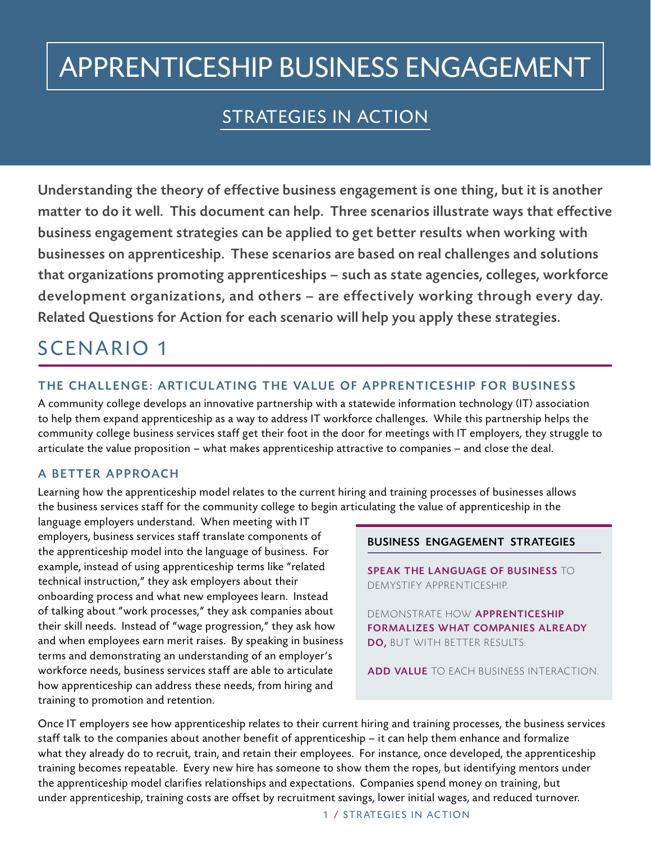# APPRENTICESHIP BUSINESS ENGAGEMENT

## STRATEGIES IN ACTION

Understanding the theory of effective business engagement is one thing, but it is another matter to do it well. This document can help. Three scenarios illustrate ways that effective business engagement strategies can be applied to get better results when working with businesses on apprenticeship. These scenarios are based on real challenges and solutions that organizations promoting apprenticeships – such as state agencies, colleges, workforce development organizations, and others – are effectively working through every day. Related Questions for Action for each scenario will help you apply these strategies.

## SCENARIO 1

### THE CHALLENGE: ARTICULATING THE VALUE OF APPRENTICESHIP FOR BUSINESS

A community college develops an innovative partnership with a statewide information technology (IT) association to help them expand apprenticeship as a way to address IT workforce challenges. While this partnership helps the community college business services staff get their foot in the door for meetings with IT employers, they struggle to articulate the value proposition – what makes apprenticeship attractive to companies – and close the deal.

### A BETTER APPROACH

Learning how the apprenticeship model relates to the current hiring and training processes of businesses allows the business services staff for the community college to begin articulating the value of apprenticeship in the

language employers understand. When meeting with IT employers, business services staff translate components of the apprenticeship model into the language of business. For example, instead of using apprenticeship terms like "related technical instruction," they ask employers about their onboarding process and what new employees learn. Instead of talking about "work processes," they ask companies about their skill needs. Instead of "wage progression," they ask how and when employees earn merit raises. By speaking in business terms and demonstrating an understanding of an employer's workforce needs, business services staff are able to articulate how apprenticeship can address these needs, from hiring and training to promotion and retention.

### BUSINESS ENGAGEMENT STRATEGIES

SPEAK THE LANGUAGE OF BUSINESS TO DEMYSTIFY APPRENTICESHIP.

DEMONSTRATE HOW APPRENTICESHIP FORMALIZES WHAT COMPANIES ALREADY DO, BUT WITH BETTER RESULTS.

ADD VALUE TO EACH BUSINESS INTERACTION.

Once IT employers see how apprenticeship relates to their current hiring and training processes, the business services staff talk to the companies about another benefit of apprenticeship – it can help them enhance and formalize what they already do to recruit, train, and retain their employees. For instance, once developed, the apprenticeship training becomes repeatable. Every new hire has someone to show them the ropes, but identifying mentors under the apprenticeship model clarifies relationships and expectations. Companies spend money on training, but under apprenticeship, training costs are offset by recruitment savings, lower initial wages, and reduced turnover.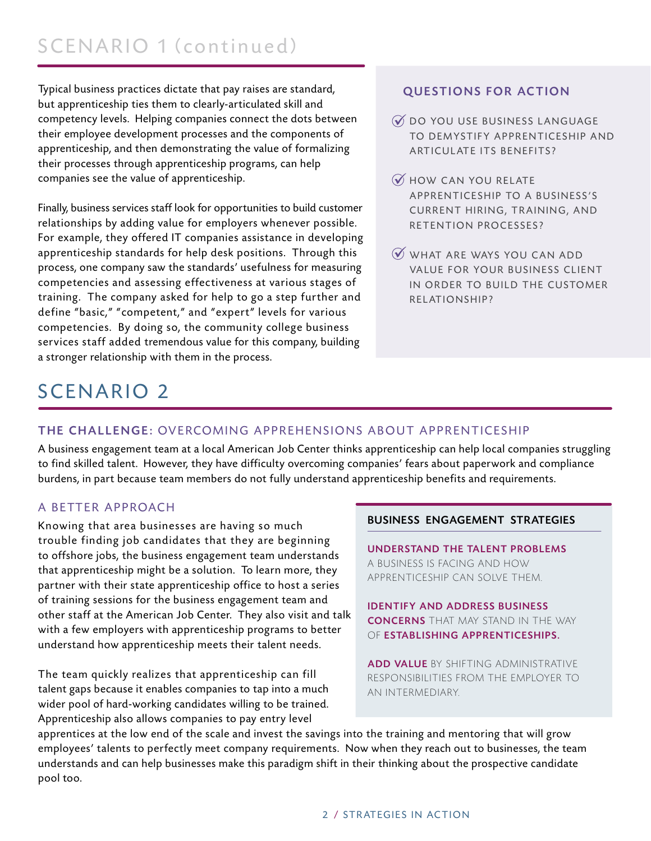Typical business practices dictate that pay raises are standard, but apprenticeship ties them to clearly-articulated skill and competency levels. Helping companies connect the dots between their employee development processes and the components of apprenticeship, and then demonstrating the value of formalizing their processes through apprenticeship programs, can help companies see the value of apprenticeship.

Finally, business services staff look for opportunities to build customer relationships by adding value for employers whenever possible. For example, they offered IT companies assistance in developing apprenticeship standards for help desk positions. Through this process, one company saw the standards' usefulness for measuring competencies and assessing effectiveness at various stages of training. The company asked for help to go a step further and define "basic," "competent," and "expert" levels for various competencies. By doing so, the community college business services staff added tremendous value for this company, building a stronger relationship with them in the process.

### QUESTIONS FOR ACTION

- ü DO YOU USE BUSINESS LANGUAGE TO DEMYSTIFY APPRENTICESHIP AND ARTICULATE ITS BENEFITS?
- $\mathcal Y$  HOW CAN YOU RELATE APPRENTICESHIP TO A BUSINESS'S CURRENT HIRING, TRAINING, AND RETENTION PROCESSES?
- WHAT ARE WAYS YOU CAN ADD VALUE FOR YOUR BUSINESS CLIENT IN ORDER TO BUILD THE CUSTOMER RELATIONSHIP?

## SCENARIO 2

### THE CHALLENGE: OVERCOMING APPREHENSIONS ABOUT APPRENTICESHIP

A business engagement team at a local American Job Center thinks apprenticeship can help local companies struggling to find skilled talent. However, they have difficulty overcoming companies' fears about paperwork and compliance burdens, in part because team members do not fully understand apprenticeship benefits and requirements.

### A BETTER APPROACH

Knowing that area businesses are having so much<br> **BUSINESS ENGAGEMENT STRATEGIES** trouble finding job candidates that they are beginning<br>to offshore jobs, the business engagement team understands<br>that apprenticeship might be a solution. To learn more, they<br>partner with their state apprenticeship office of training sessions for the business engagement team and **IDENTIFY AND ADDRESS BUSINESS** other staff at the American Job Center. They also visit and talk<br> **CONCERNS** THAT MAY STAND IN THE WAY with a few employers with apprenticeship programs to better OF ESTABLISHING APPRENTICESHIPS. understand how apprenticeship meets their talent needs.

The team quickly realizes that apprenticeship can fill RESPONSIBILITIES FROM THE EMPLOYER TO talent gaps because it enables companies to tap into a much AN INTERMEDIARY. wider pool of hard-working candidates willing to be trained. Apprenticeship also allows companies to pay entry level

ADD VALUE BY SHIFTING ADMINISTRATIVE

apprentices at the low end of the scale and invest the savings into the training and mentoring that will grow employees' talents to perfectly meet company requirements. Now when they reach out to businesses, the team understands and can help businesses make this paradigm shift in their thinking about the prospective candidate pool too.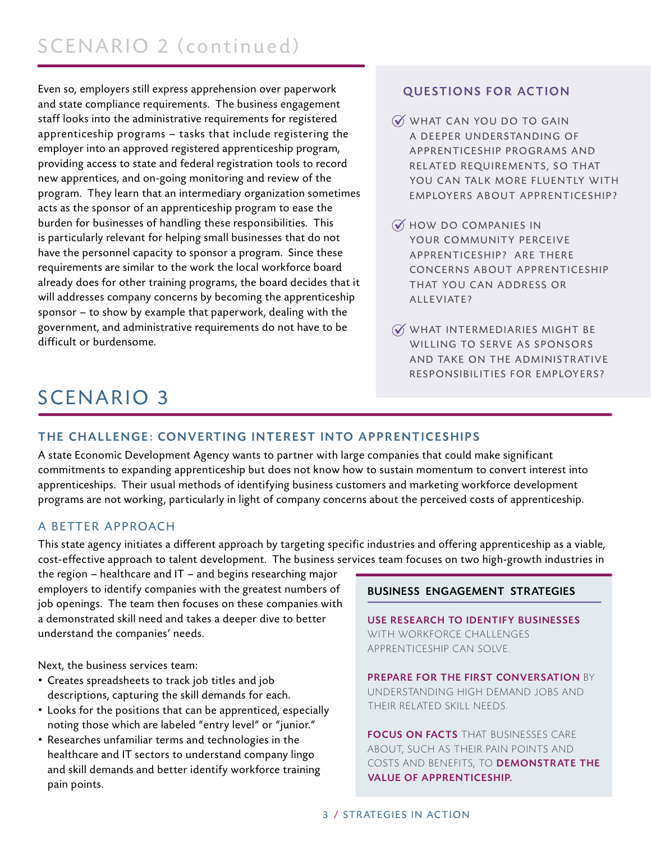Even so, employers still express apprehension over paperwork and state compliance requirements. The business engagement staff looks into the administrative requirements for registered apprenticeship programs – tasks that include registering the employer into an approved registered apprenticeship program, providing access to state and federal registration tools to record new apprentices, and on-going monitoring and review of the program. They learn that an intermediary organization sometimes acts as the sponsor of an apprenticeship program to ease the burden for businesses of handling these responsibilities. This is particularly relevant for helping small businesses that do not have the personnel capacity to sponsor a program. Since these requirements are similar to the work the local workforce board already does for other training programs, the board decides that it will addresses company concerns by becoming the apprenticeship sponsor – to show by example that paperwork, dealing with the government, and administrative requirements do not have to be difficult or burdensome.

### QUESTIONS FOR ACTION

- $\widetilde{\mathcal{W}}$  WHAT CAN YOU DO TO GAIN A DEEPER UNDERSTANDING OF APPRENTICESHIP PROGRAMS AND RELATED REQUIREMENTS, SO THAT YOU CAN TALK MORE FLUENTLY WITH EMPLOYERS ABOUT APPRENTICESHIP?
- $\widetilde{\mathcal{N}}$  HOW DO COMPANIES IN YOUR COMMUNITY PERCEIVE APPRENTICESHIP? ARE THERE CONCERNS ABOUT APPRENTICESHIP THAT YOU CAN ADDRESS OR A L L E VIATE?
- $\widetilde{\mathcal{N}}$  WHAT INTERMEDIARIES MIGHT BE WILLING TO SERVE AS SPONSORS AND TAKE ON THE ADMINISTRATIVE RESPONSIBILITIES FOR EMPLOYERS?

## SCENARIO 3

### THE CHALLENGE: CONVERTING INTEREST INTO APPRENTICESHIPS

A state Economic Development Agency wants to partner with large companies that could make significant commitments to expanding apprenticeship but does not know how to sustain momentum to convert interest into apprenticeships. Their usual methods of identifying business customers and marketing workforce development programs are not working, particularly in light of company concerns about the perceived costs of apprenticeship.

### A BETTER APPROACH

This state agency initiates a different approach by targeting specific industries and offering apprenticeship as a viable, cost-effective approach to talent development. The business services team focuses on two high-growth industries in

the region – healthcare and IT – and begins researching major employers to identify companies with the greatest numbers of job openings. The team then focuses on these companies with a demonstrated skill need and takes a deeper dive to better understand the companies' needs.

Next, the business services team:

- Creates spreadsheets to track job titles and job descriptions, capturing the skill demands for each.
- Looks for the positions that can be apprenticed, especially noting those which are labeled "entry level" or "junior."
- Researches unfamiliar terms and technologies in the healthcare and IT sectors to understand company lingo and skill demands and better identify workforce training pain points.

### BUSINESS ENGAGEMENT STRATEGIES

USE RESEARCH TO IDENTIFY BUSINESSES WITH WORKFORCE CHALLENGES APPRENTICESHIP CAN SOLVE.

PREPARE FOR THE FIRST CONVERSATION BY UNDERSTANDING HIGH DEMAND JOBS AND THEIR RELATED SKILL NEEDS.

FOCUS ON FACTS THAT BUSINESSES CARE ABOUT, SUCH AS THEIR PAIN POINTS AND COSTS AND BENEFITS, TO DEMONSTRATE THE VALUE OF APPRENTICESHIP.